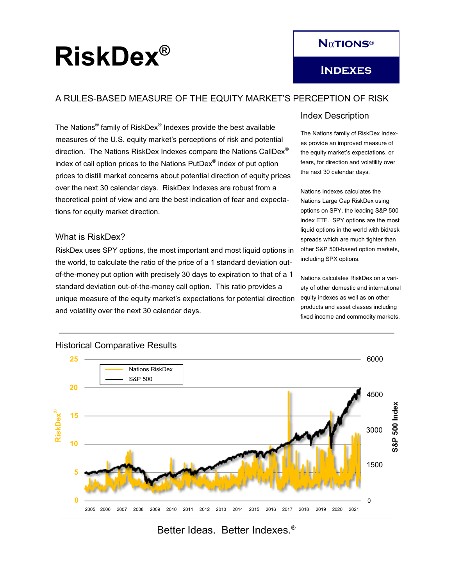# RiskDex<sup>®</sup>

# A RULES-BASED MEASURE OF THE EQUITY MARKET'S PERCEPTION OF RISK

The Nations $^\circ$  family of RiskDex $^\circ$  Indexes provide the best available measures of the U.S. equity market's perceptions of risk and potential direction. The Nations RiskDex Indexes compare the Nations CallDex® index of call option prices to the Nations  $\mathsf{PutDev}^{\circledast}$  index of put option prices to distill market concerns about potential direction of equity prices over the next 30 calendar days. RiskDex Indexes are robust from a theoretical point of view and are the best indication of fear and expectations for equity market direction.

## What is RiskDex?

RiskDex uses SPY options, the most important and most liquid options in the world, to calculate the ratio of the price of a 1 standard deviation outof-the-money put option with precisely 30 days to expiration to that of a 1 standard deviation out-of-the-money call option. This ratio provides a unique measure of the equity market's expectations for potential direction and volatility over the next 30 calendar days.

## Index Description

The Nations family of RiskDex Indexes provide an improved measure of the equity market's expectations, or fears, for direction and volatility over the next 30 calendar days.

Nations Indexes calculates the Nations Large Cap RiskDex using options on SPY, the leading S&P 500 index ETF. SPY options are the most liquid options in the world with bid/ask spreads which are much tighter than other S&P 500-based option markets, including SPX options.

Nations calculates RiskDex on a variety of other domestic and international equity indexes as well as on other products and asset classes including fixed income and commodity markets.



#### Historical Comparative Results

Better Ideas. Better Indexes.®